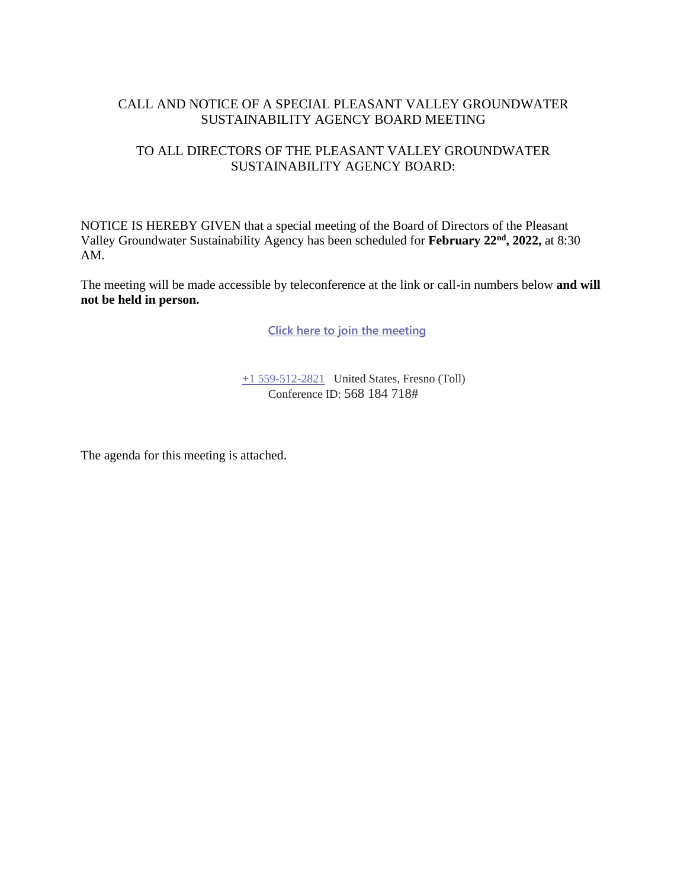#### CALL AND NOTICE OF A SPECIAL PLEASANT VALLEY GROUNDWATER SUSTAINABILITY AGENCY BOARD MEETING

#### TO ALL DIRECTORS OF THE PLEASANT VALLEY GROUNDWATER SUSTAINABILITY AGENCY BOARD:

NOTICE IS HEREBY GIVEN that a special meeting of the Board of Directors of the Pleasant Valley Groundwater Sustainability Agency has been scheduled for **February 22nd, 2022,** at 8:30 AM.

The meeting will be made accessible by teleconference at the link or call-in numbers below **and will not be held in person.**

**[Click here to join the meeting](https://teams.microsoft.com/l/meetup-join/19%3ameeting_YjQ1Y2QxOWMtYWNiMi00NWUzLTliYmEtYTRjMDVlMDQyNTRk%40thread.v2/0?context=%7b%22Tid%22%3a%22a6cf659f-2360-4ff9-9e8d-045f48434ada%22%2c%22Oid%22%3a%22d7c07c21-aea1-4965-a48d-46a35d2818b4%22%7d)**

[+1 559-512-2821](tel:+15595122821,,85232084# ) United States, Fresno (Toll) Conference ID: 568 184 718#

The agenda for this meeting is attached.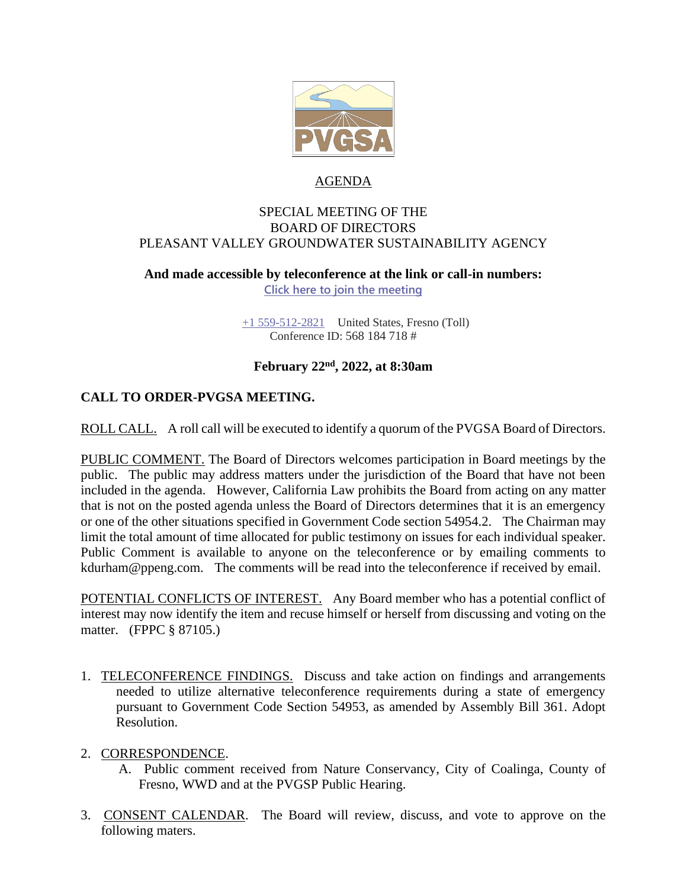

#### AGENDA

#### SPECIAL MEETING OF THE BOARD OF DIRECTORS PLEASANT VALLEY GROUNDWATER SUSTAINABILITY AGENCY

# **And made accessible by teleconference at the link or call-in numbers:**

**[Click here to join the meeting](https://teams.microsoft.com/l/meetup-join/19%3ameeting_YjQ1Y2QxOWMtYWNiMi00NWUzLTliYmEtYTRjMDVlMDQyNTRk%40thread.v2/0?context=%7b%22Tid%22%3a%22a6cf659f-2360-4ff9-9e8d-045f48434ada%22%2c%22Oid%22%3a%22d7c07c21-aea1-4965-a48d-46a35d2818b4%22%7d)**

[+1 559-512-2821](tel:+15595122821,,85232084# ) United States, Fresno (Toll) Conference ID: 568 184 718 #

#### **February 22nd , 2022, at 8:30am**

## **CALL TO ORDER-PVGSA MEETING.**

ROLL CALL. A roll call will be executed to identify a quorum of the PVGSA Board of Directors.

PUBLIC COMMENT. The Board of Directors welcomes participation in Board meetings by the public. The public may address matters under the jurisdiction of the Board that have not been included in the agenda. However, California Law prohibits the Board from acting on any matter that is not on the posted agenda unless the Board of Directors determines that it is an emergency or one of the other situations specified in Government Code section 54954.2. The Chairman may limit the total amount of time allocated for public testimony on issues for each individual speaker. Public Comment is available to anyone on the teleconference or by emailing comments to kdurham@ppeng.com. The comments will be read into the teleconference if received by email.

POTENTIAL CONFLICTS OF INTEREST. Any Board member who has a potential conflict of interest may now identify the item and recuse himself or herself from discussing and voting on the matter. (FPPC § 87105.)

- 1. TELECONFERENCE FINDINGS. Discuss and take action on findings and arrangements needed to utilize alternative teleconference requirements during a state of emergency pursuant to Government Code Section 54953, as amended by Assembly Bill 361. Adopt Resolution.
- 2. CORRESPONDENCE.
	- A. Public comment received from Nature Conservancy, City of Coalinga, County of Fresno, WWD and at the PVGSP Public Hearing.
- 3. CONSENT CALENDAR. The Board will review, discuss, and vote to approve on the following maters.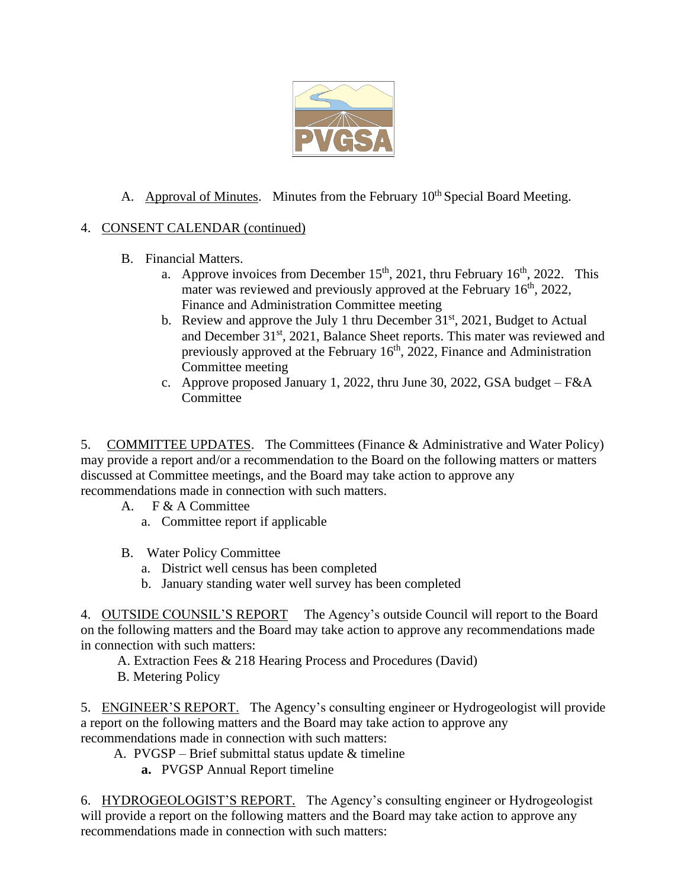

## A. Approval of Minutes. Minutes from the February  $10<sup>th</sup>$  Special Board Meeting.

## 4. CONSENT CALENDAR (continued)

- B. Financial Matters.
	- a. Approve invoices from December  $15<sup>th</sup>$ , 2021, thru February  $16<sup>th</sup>$ , 2022. This mater was reviewed and previously approved at the February 16<sup>th</sup>, 2022, Finance and Administration Committee meeting
	- b. Review and approve the July 1 thru December  $31<sup>st</sup>$ , 2021, Budget to Actual and December 31<sup>st</sup>, 2021, Balance Sheet reports. This mater was reviewed and previously approved at the February 16<sup>th</sup>, 2022, Finance and Administration Committee meeting
	- c. Approve proposed January 1, 2022, thru June 30, 2022, GSA budget F&A **Committee**

5. COMMITTEE UPDATES. The Committees (Finance & Administrative and Water Policy) may provide a report and/or a recommendation to the Board on the following matters or matters discussed at Committee meetings, and the Board may take action to approve any recommendations made in connection with such matters.

- A. F & A Committee
	- a. Committee report if applicable
- B. Water Policy Committee
	- a. District well census has been completed
	- b. January standing water well survey has been completed

4. OUTSIDE COUNSIL'S REPORT The Agency's outside Council will report to the Board on the following matters and the Board may take action to approve any recommendations made in connection with such matters:

- A. Extraction Fees & 218 Hearing Process and Procedures (David)
- B. Metering Policy

5. ENGINEER'S REPORT. The Agency's consulting engineer or Hydrogeologist will provide a report on the following matters and the Board may take action to approve any recommendations made in connection with such matters:

- A. PVGSP Brief submittal status update & timeline
	- **a.** PVGSP Annual Report timeline

6. HYDROGEOLOGIST'S REPORT. The Agency's consulting engineer or Hydrogeologist will provide a report on the following matters and the Board may take action to approve any recommendations made in connection with such matters: